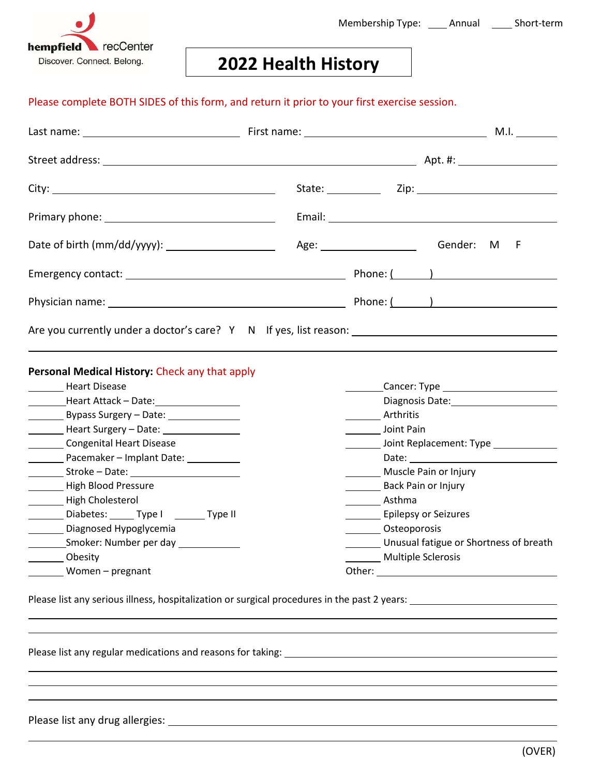

## **2022 Health History**

## Please complete BOTH SIDES of this form, and return it prior to your first exercise session.

| Personal Medical History: Check any that apply                                   |                                                                                                               |                                            |  |
|----------------------------------------------------------------------------------|---------------------------------------------------------------------------------------------------------------|--------------------------------------------|--|
| Heart Disease                                                                    |                                                                                                               |                                            |  |
|                                                                                  |                                                                                                               |                                            |  |
| Bypass Surgery - Date: 1988                                                      | Arthritis                                                                                                     |                                            |  |
| ___________ Heart Surgery - Date: ____________________                           | Joint Pain                                                                                                    |                                            |  |
| Congenital Heart Disease                                                         | Later Louis Louis Louis Louis Louis Louis Louis Louis Louis Louis Louis Louis Louis Louis Louis Louis Louis L |                                            |  |
| Pacemaker - Implant Date: __________                                             |                                                                                                               |                                            |  |
|                                                                                  | Muscle Pain or Injury                                                                                         |                                            |  |
| High Blood Pressure                                                              | Back Pain or Injury                                                                                           |                                            |  |
| High Cholesterol                                                                 | _______ Asthma                                                                                                |                                            |  |
| Diabetes: _______ Type I ________ Type II                                        | <b>Epilepsy or Seizures</b>                                                                                   |                                            |  |
| Diagnosed Hypoglycemia                                                           | Osteoporosis                                                                                                  |                                            |  |
| _____________Smoker: Number per day ________________                             | Unusual fatigue or Shortness of breath                                                                        |                                            |  |
| <b>Example 3</b> Obesity                                                         |                                                                                                               | Multiple Sclerosis <b>Exercise Scleros</b> |  |
| Women - pregnant                                                                 |                                                                                                               |                                            |  |
| ,我们也不会有什么。""我们的人,我们也不会有什么?""我们的人,我们也不会有什么?""我们的人,我们也不会有什么?""我们的人,我们也不会有什么?""我们的人 |                                                                                                               |                                            |  |
|                                                                                  |                                                                                                               |                                            |  |
|                                                                                  |                                                                                                               |                                            |  |
|                                                                                  |                                                                                                               |                                            |  |